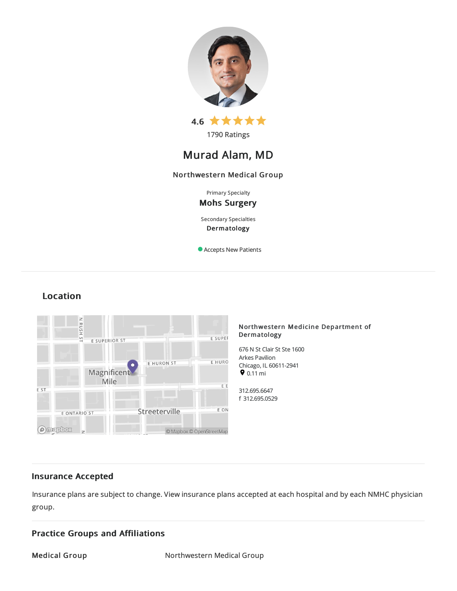



# Murad Alam, MD

# Northwestern Medical Group

Primary Specialty

# Mohs Surgery

Secondary Specialties Dermatology

Accepts New Patients

# Location



# Northwestern Medicine Department of Dermatology

676 N St Clair St Ste 1600 Arkes Pavilion Chicago, IL60611-2941  $9.11 \text{ mi}$ 

312.695.6647 f 312.695.0529

# Insurance Accepted

Insurance plans are subject to change. View [insurance](https://www.nm.org/patients-and-visitors/billing-and-insurance/insurance-information/accepted-insurance-plans) plans accepted at each hospital and by each NMHC physician group.

# Practice Groups and Affiliations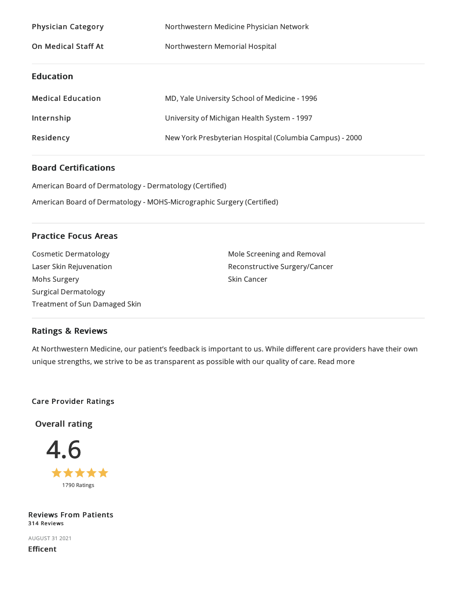| <b>Physician Category</b>  | Northwestern Medicine Physician Network                 |
|----------------------------|---------------------------------------------------------|
| <b>On Medical Staff At</b> | Northwestern Memorial Hospital                          |
| <b>Education</b>           |                                                         |
| <b>Medical Education</b>   | MD, Yale University School of Medicine - 1996           |
| Internship                 | University of Michigan Health System - 1997             |
| Residency                  | New York Presbyterian Hospital (Columbia Campus) - 2000 |

# Board Certifications

American Board of Dermatology - Dermatology (Certified)

American Board of Dermatology - MOHS-Micrographic Surgery (Certified)

# Practice Focus Areas

Cosmetic Dermatology Laser Skin Rejuvenation Mohs Surgery Surgical Dermatology Treatment of Sun Damaged Skin Mole Screening and Removal Reconstructive Surgery/Cancer Skin Cancer

# Ratings & Reviews

At Northwestern Medicine, our patient's feedback is important to us. While different care providers have their own unique strengths, we strive to be as transparent as possible with our quality of care. Read more

# Care Provider Ratings

Overall rating



# Reviews From Patients 314 Reviews

AUGUST 312021

Efficent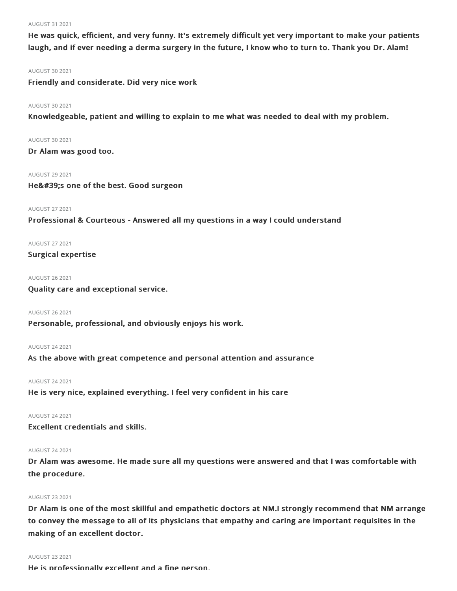#### AUGUST 312021

He was quick, efficient, and very funny. It's extremely difficult yet very important to make your patients laugh, and if ever needing a derma surgery in the future, I know who to turn to. Thank you Dr. Alam!

#### AUGUST 302021

Friendly and considerate. Did very nice work

## AUGUST 302021

Knowledgeable, patient and willing to explain to me what was needed to deal with my problem.

# AUGUST 302021

Dr Alam was good too.

## AUGUST 29 2021

He's one of the best. Good surgeon

# AUGUST 272021

Professional & Courteous - Answered all my questions in a way I could understand

# AUGUST 272021

Surgical expertise

## AUGUST 262021

Quality care and exceptional service.

#### AUGUST 262021

Personable, professional, and obviously enjoys his work.

# AUGUST 242021

As the above with great competence and personal attention and assurance

# AUGUST 242021

He is very nice, explained everything. I feel very confident in his care

# AUGUST 242021

Excellent credentials and skills.

# AUGUST 242021

Dr Alam was awesome. He made sure all my questions were answered and that I was comfortable with the procedure.

# AUGUST 232021

Dr Alam is one of the most skillful and empathetic doctors at NM.I strongly recommend that NM arrange to convey the message to all of its physicians that empathy and caring are important requisites in the making of an excellent doctor.

#### AUGUST 232021

He is professionally excellent and a fine person.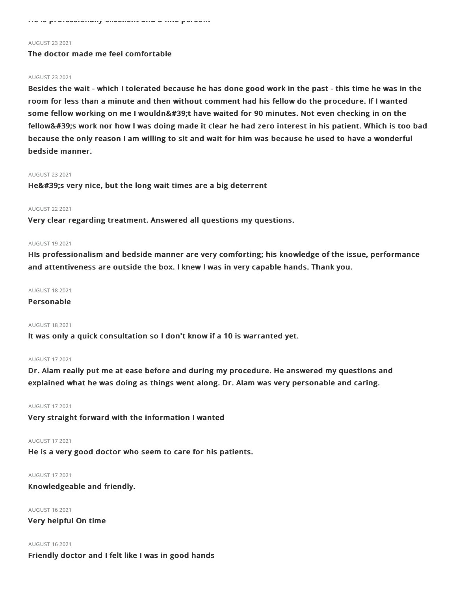He is professionally excellent and a fine person.

#### AUGUST 232021

# The doctor made me feel comfortable

#### AUGUST 232021

Besides the wait - which I tolerated because he has done good work in the past - this time he was in the room for less than a minute and then without comment had his fellow do the procedure. If I wanted some fellow working on me I wouldn't have waited for 90 minutes. Not even checking in on the fellow's work nor how I was doing made it clear he had zero interest in his patient. Which is too bad because the only reason I am willing to sit and wait for him was because he used to have a wonderful bedside manner.

#### AUGUST 232021

He' very nice, but the long wait times are a big deterrent

## AUGUST 222021

Very clear regarding treatment. Answered all questions my questions.

#### AUGUST 192021

HIs professionalism and bedside manner are very comforting; his knowledge of the issue, performance and attentiveness are outside the box. I knew I was in very capable hands. Thank you.

## AUGUST 182021

# Personable

#### AUGUST 182021

It was only a quick consultation so I don't know if a 10 is warranted yet.

#### AUGUST 172021

Dr. Alam really put me at ease before and during my procedure. He answered my questions and explained what he was doing as things went along. Dr. Alam was very personable and caring.

# AUGUST 172021

Very straight forward with the information I wanted

#### AUGUST 172021

He is a very good doctor who seem to care for his patients.

# AUGUST 172021

Knowledgeable and friendly.

AUGUST 162021 Very helpful On time

# AUGUST 162021 Friendly doctor and I felt like I was in good hands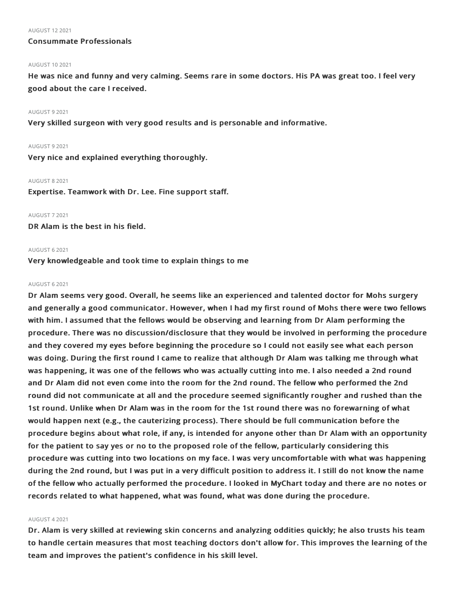#### AUGUST 122021

# Consummate Professionals

#### AUGUST 102021

He was nice and funny and very calming. Seems rare in some doctors. His PA was great too. I feel very good about the care I received.

#### AUGUST 92021

Very skilled surgeon with very good results and is personable and informative.

#### AUGUST 92021

Very nice and explained everything thoroughly.

#### AUGUST 82021

Expertise. Teamwork with Dr. Lee. Fine support staff.

#### AUGUST 72021

DR Alam is the best in his field.

#### AUGUST 62021

Very knowledgeable and took time to explain things to me

#### AUGUST 62021

Dr Alam seems very good. Overall, he seems like an experienced and talented doctor for Mohs surgery and generally a good communicator. However, when I had my first round of Mohs there were two fellows with him. I assumed that the fellows would be observing and learning from Dr Alam performing the procedure. There was no discussion/disclosure that they would be involved in performing the procedure and they covered my eyes before beginning the procedure so I could not easily see what each person was doing. During the first round I came to realize that although Dr Alam was talking me through what was happening, it was one of the fellows who was actually cutting into me. I also needed a 2nd round and Dr Alam did not even come into the room for the 2nd round. The fellow who performed the 2nd round did not communicate at all and the procedure seemed significantly rougher and rushed than the 1st round. Unlike when Dr Alam was in the room for the 1st round there was no forewarning of what would happen next (e.g., the cauterizing process). There should be full communication before the procedure begins about what role, if any, is intended for anyone other than Dr Alam with an opportunity for the patient to say yes or no to the proposed role of the fellow, particularly considering this procedure was cutting into two locations on my face. I was very uncomfortable with what was happening during the 2nd round, but I was put in a very difficult position to address it. I still do not know the name of the fellow who actually performed the procedure. I looked in MyChart today and there are no notes or records related to what happened, what was found, what was done during the procedure.

#### AUGUST 42021

Dr. Alam is very skilled at reviewing skin concerns and analyzing oddities quickly; he also trusts his team to handle certain measures that most teaching doctors don't allow for. This improves the learning of the team and improves the patient's confidence in his skill level.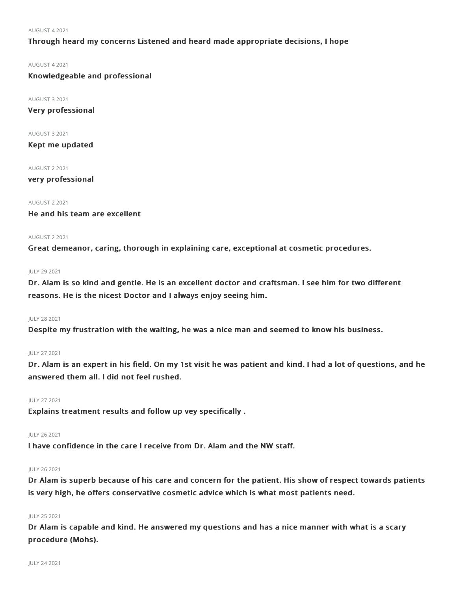#### AUGUST 42021

# Through heard my concerns Listened and heard made appropriate decisions, I hope

AUGUST 42021

Knowledgeable and professional

AUGUST 32021

Very professional

AUGUST 32021

Kept me updated

AUGUST 22021

very professional

AUGUST 22021

He and his team are excellent

#### AUGUST 22021

Great demeanor, caring, thorough in explaining care, exceptional at cosmetic procedures.

#### JULY 29 2021

Dr. Alam is so kind and gentle. He is an excellent doctor and craftsman. I see him for two different reasons. He is the nicest Doctor and I always enjoy seeing him.

#### JULY 282021

Despite my frustration with the waiting, he was a nice man and seemed to know his business.

## JULY 272021

Dr. Alam is an expert in his field. On my 1st visit he was patient and kind. I had a lot of questions, and he answered them all. I did not feel rushed.

## JULY 272021

Explains treatment results and follow up vey specifically .

## JULY 262021

I have confidence in the care I receive from Dr. Alam and the NW staff.

# JULY 262021

Dr Alam is superb because of his care and concern for the patient. His show of respect towards patients is very high, he offers conservative cosmetic advice which is what most patients need.

# JULY 252021

Dr Alam is capable and kind. He answered my questions and has a nice manner with what is a scary procedure (Mohs).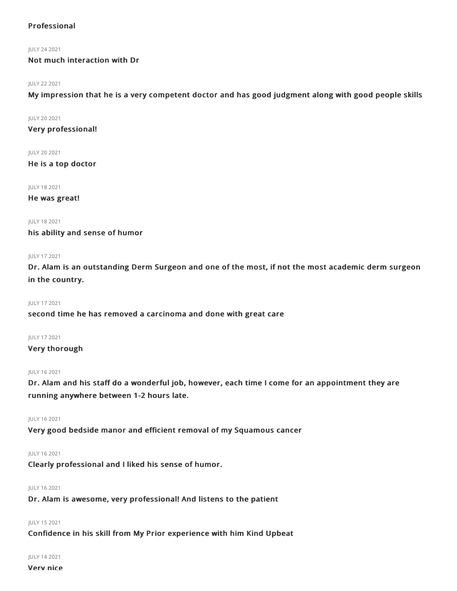# Professional

## JULY 242021

Not much interaction with Dr

# JULY 222021

My impression that he is a very competent doctor and has good judgment along with good people skills

# JULY 202021

Very professional!

# JULY 202021

He is a top doctor

# JULY 182021

He was great!

JULY 182021

his ability and sense of humor

# JULY 172021

Dr. Alam is an outstanding Derm Surgeon and one of the most, if not the most academic derm surgeon in the country.

# JULY 172021

# second time he has removed a carcinoma and done with great care

# JULY 172021

# Very thorough

# JULY 162021

Dr. Alam and his staff do a wonderful job, however, each time I come for an appointment they are running anywhere between 1-2 hours late.

# JULY 162021

Very good bedside manor and efficient removal of my Squamous cancer

# JULY 162021

Clearly professional and I liked his sense of humor.

# JULY 162021

Dr. Alam is awesome, very professional! And listens to the patient

# JULY 152021

Confidence in his skill from My Prior experience with him Kind Upbeat

#### JULY 142021

```
Very nice
```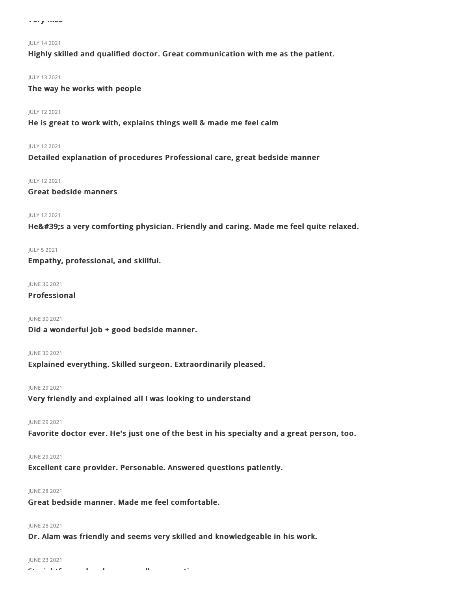#### JULY 142021

Highly skilled and qualified doctor. Great communication with me as the patient.

#### JULY 132021

The way he works with people

#### JULY 122021

He is great to work with, explains things well & made me feel calm

#### JULY 122021

Detailed explanation of procedures Professional care, great bedside manner

#### JULY 122021

# Great bedside manners

## JULY 122021

He's a very comforting physician. Friendly and caring. Made me feel quite relaxed.

#### JULY 52021

Empathy, professional, and skillful.

#### JUNE 30 2021

# Professional

#### JUNE 302021

Did a wonderful job + good bedside manner.

## JUNE 302021

Explained everything. Skilled surgeon. Extraordinarily pleased.

#### **IUNE 29 2021**

Very friendly and explained all I was looking to understand

# JUNE 292021

Favorite doctor ever. He's just one of the best in his specialty and a great person, too.

#### JUNE 29 2021

Excellent care provider. Personable. Answered questions patiently.

# JUNE 282021

Great bedside manner. Made me feel comfortable.

# JUNE 282021

Dr. Alam was friendly and seems very skilled and knowledgeable in his work.

#### JUNE 232021

 $\sigma$  and all my questions all my questions are seen as well my questions all my questions all my questions all my questions are  $\sigma$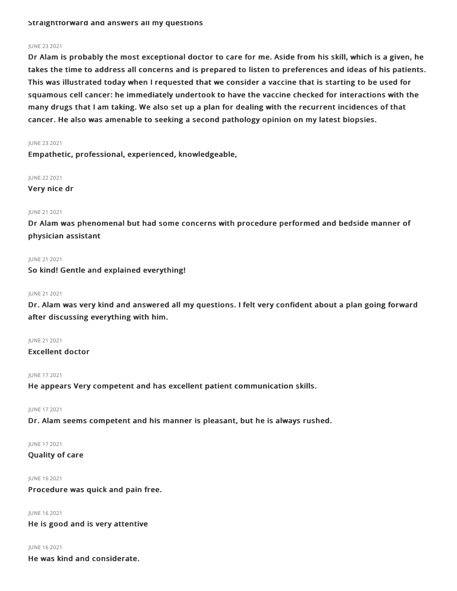# JUNE 232021

Dr Alam is probably the most exceptional doctor to care for me. Aside from his skill, which is a given, he takes the time to address all concerns and is prepared to listen to preferences and ideas of his patients. This was illustrated today when I requested that we consider a vaccine that is starting to be used for squamous cell cancer: he immediately undertook to have the vaccine checked for interactions with the many drugs that I am taking. We also set up a plan for dealing with the recurrent incidences of that cancer. He also was amenable to seeking a second pathology opinion on my latest biopsies.

#### JUNE 232021

Empathetic, professional, experienced, knowledgeable,

JUNE 22 2021

Very nice dr

#### JUNE 21 2021

Dr Alam was phenomenal but had some concerns with procedure performed and bedside manner of physician assistant

#### JUNE 21 2021

So kind! Gentle and explained everything!

#### JUNE 212021

Dr. Alam was very kind and answered all my questions. I felt very confident about a plan going forward after discussing everything with him.

JUNE 212021

Excellent doctor

#### JUNE 172021

He appears Very competent and has excellent patient communication skills.

JUNE 172021

Dr. Alam seems competent and his manner is pleasant, but he is always rushed.

JUNE 172021

Quality of care

JUNE 162021

Procedure was quick and pain free.

JUNE 162021

He is good and is very attentive

JUNE 162021

He was kind and considerate.